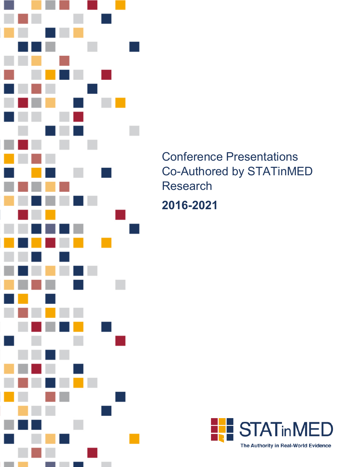

Conference Presentations Co-Authored by STATinMED Research

**2016-2021**

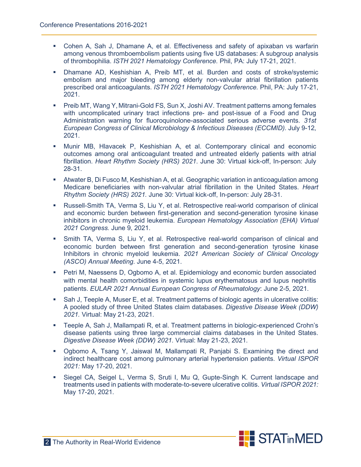- Cohen A, Sah J, Dhamane A, et al. Effectiveness and safety of apixaban vs warfarin among venous thromboembolism patients using five US databases: A subgroup analysis of thrombophilia. *ISTH 2021 Hematology Conference.* Phil, PA: July 17-21, 2021.
- Dhamane AD, Keshishian A, Preib MT, et al. Burden and costs of stroke/systemic embolism and major bleeding among elderly non-valvular atrial fibrillation patients prescribed oral anticoagulants. *ISTH 2021 Hematology Conference.* Phil, PA: July 17-21, 2021.
- **Preib MT, Wang Y, Mitrani-Gold FS, Sun X, Joshi AV. Treatment patterns among females** with uncomplicated urinary tract infections pre- and post-issue of a Food and Drug Administration warning for fluoroquinolone-associated serious adverse events. *31st European Congress of Clinical Microbiology & Infectious Diseases (ECCMID).* July 9-12, 2021.
- Munir MB, Hlavacek P, Keshishian A, et al. Contemporary clinical and economic outcomes among oral anticoagulant treated and untreated elderly patients with atrial fibrillation. *Heart Rhythm Society (HRS) 2021*. June 30: Virtual kick-off, In-person: July 28-31.
- Atwater B, Di Fusco M, Keshishian A, et al. Geographic variation in anticoagulation among Medicare beneficiaries with non-valvular atrial fibrillation in the United States. *Heart Rhythm Society (HRS) 2021.* June 30: Virtual kick-off, In-person: July 28-31.
- Russell-Smith TA, Verma S, Liu Y, et al. Retrospective real-world comparison of clinical and economic burden between first-generation and second-generation tyrosine kinase inhibitors in chronic myeloid leukemia. *European Hematology Association (EHA) Virtual 2021 Congress.* June 9, 2021.
- Smith TA, Verma S, Liu Y, et al. Retrospective real-world comparison of clinical and economic burden between first generation and second-generation tyrosine kinase Inhibitors in chronic myeloid leukemia. *2021 American Society of Clinical Oncology (ASCO) Annual Meeting*. June 4-5, 2021.
- **Petri M, Naessens D, Ogbomo A, et al. Epidemiology and economic burden associated** with mental health comorbidities in systemic lupus erythematosus and lupus nephritis patients. *EULAR 2021 Annual European Congress of Rheumatology*: June 2-5, 2021.
- Sah J, Teeple A, Muser E, et al. Treatment patterns of biologic agents in ulcerative colitis: A pooled study of three United States claim databases. *Digestive Disease Week (DDW) 2021.* Virtual: May 21-23, 2021.
- Teeple A, Sah J, Mallampati R, et al. Treatment patterns in biologic-experienced Crohn's disease patients using three large commercial claims databases in the United States. *Digestive Disease Week (DDW) 2021.* Virtual: May 21-23, 2021.
- Ogbomo A, Tsang Y, Jaiswal M, Mallampati R, Panjabi S. Examining the direct and indirect healthcare cost among pulmonary arterial hypertension patients. *Virtual ISPOR 2021:* May 17-20, 2021.
- Siegel CA, Seigel L, Verma S, Sruti I, Mu Q, Gupte-Singh K. Current landscape and treatments used in patients with moderate-to-severe ulcerative colitis. *Virtual ISPOR 2021:*  May 17-20, 2021.

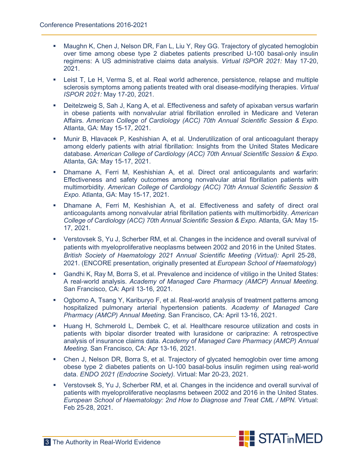- Maughn K, Chen J, Nelson DR, Fan L, Liu Y, Rey GG. Trajectory of glycated hemoglobin over time among obese type 2 diabetes patients prescribed U-100 basal-only insulin regimens: A US administrative claims data analysis. *Virtual ISPOR 2021:* May 17-20, 2021.
- Leist T, Le H, Verma S, et al. Real world adherence, persistence, relapse and multiple sclerosis symptoms among patients treated with oral disease-modifying therapies. *Virtual ISPOR 2021:* May 17-20, 2021.
- Deitelzweig S, Sah J, Kang A, et al. Effectiveness and safety of apixaban versus warfarin in obese patients with nonvalvular atrial fibrillation enrolled in Medicare and Veteran Affairs. *American College of Cardiology (ACC) 70th Annual Scientific Session & Expo.* Atlanta, GA: May 15-17, 2021.
- Munir B, Hlavacek P, Keshishian A, et al. Underutilization of oral anticoagulant therapy among elderly patients with atrial fibrillation: Insights from the United States Medicare database. *American College of Cardiology (ACC) 70th Annual Scientific Session & Expo.*  Atlanta, GA: May 15-17, 2021.
- Dhamane A, Ferri M, Keshishian A, et al. Direct oral anticoagulants and warfarin: Effectiveness and safety outcomes among nonvalvular atrial fibrillation patients with multimorbidity. *American College of Cardiology (ACC) 70th Annual Scientific Session & Expo.* Atlanta, GA: May 15-17, 2021.
- Dhamane A, Ferri M, Keshishian A, et al. Effectiveness and safety of direct oral anticoagulants among nonvalvular atrial fibrillation patients with multimorbidity. *American College of Cardiology (ACC) 70th Annual Scientific Session & Expo.* Atlanta, GA: May 15- 17, 2021.
- Verstovsek S, Yu J, Scherber RM, et al. Changes in the incidence and overall survival of patients with myeloproliferative neoplasms between 2002 and 2016 in the United States. *British Society of Haematology 2021 Annual Scientific Meeting (Virtual):* April 25-28, 2021. (ENCORE presentation, originally presented at *European School of Haematology*)
- Gandhi K, Ray M, Borra S, et al. Prevalence and incidence of vitiligo in the United States: A real-world analysis. *Academy of Managed Care Pharmacy (AMCP) Annual Meeting.* San Francisco, CA: April 13-16, 2021.
- Ogbomo A, Tsang Y, Kariburyo F, et al. Real-world analysis of treatment patterns among hospitalized pulmonary arterial hypertension patients. *Academy of Managed Care Pharmacy (AMCP) Annual Meeting.* San Francisco, CA: April 13-16, 2021.
- Huang H, Schmerold L, Dembek C, et al. Healthcare resource utilization and costs in patients with bipolar disorder treated with lurasidone or cariprazine: A retrospective analysis of insurance claims data. *Academy of Managed Care Pharmacy (AMCP) Annual Meeting.* San Francisco, CA: Apr 13-16, 2021.
- Chen J, Nelson DR, Borra S, et al. Trajectory of glycated hemoglobin over time among obese type 2 diabetes patients on U-100 basal-bolus insulin regimen using real-world data. *ENDO 2021 (Endocrine Society).* Virtual: Mar 20-23, 2021.
- Verstovsek S, Yu J, Scherber RM, et al. Changes in the incidence and overall survival of patients with myeloproliferative neoplasms between 2002 and 2016 in the United States. *European School of Haematology: 2nd How to Diagnose and Treat CML / MPN.* Virtual: Feb 25-28, 2021.

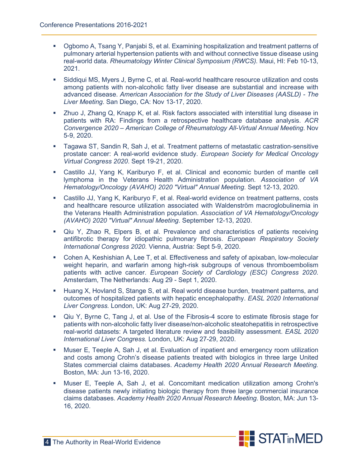- Ogbomo A, Tsang Y, Panjabi S, et al. Examining hospitalization and treatment patterns of pulmonary arterial hypertension patients with and without connective tissue disease using real-world data. *Rheumatology Winter Clinical Symposium (RWCS).* Maui, HI: Feb 10-13, 2021.
- Siddiqui MS, Myers J, Byrne C, et al. Real-world healthcare resource utilization and costs among patients with non-alcoholic fatty liver disease are substantial and increase with advanced disease. *American Association for the Study of Liver Diseases (AASLD) - The Liver Meeting*. San Diego, CA: Nov 13-17, 2020.
- Zhuo J, Zhang Q, Knapp K, et al. Risk factors associated with interstitial lung disease in patients with RA: Findings from a retrospective healthcare database analysis. *ACR Convergence 2020 – American College of Rheumatology All-Virtual Annual Meeting*. Nov 5-9, 2020.
- Tagawa ST, Sandin R, Sah J, et al. Treatment patterns of metastatic castration-sensitive prostate cancer: A real-world evidence study. *European Society for Medical Oncology Virtual Congress 2020*. Sept 19-21, 2020.
- Castillo JJ, Yang K, Kariburyo F, et al. Clinical and economic burden of mantle cell lymphoma in the Veterans Health Administration population. *Association of VA Hematology/Oncology (AVAHO) 2020 "Virtual" Annual Meeting*. Sept 12-13, 2020.
- Castillo JJ, Yang K, Kariburyo F, et al. Real-world evidence on treatment patterns, costs and healthcare resource utilization associated with Waldenström macroglobulinemia in the Veterans Health Administration population. *Association of VA Hematology/Oncology (AVAHO) 2020 "Virtual" Annual Meeting*. September 12-13, 2020.
- Qiu Y, Zhao R, Elpers B, et al. Prevalence and characteristics of patients receiving antifibrotic therapy for idiopathic pulmonary fibrosis. *European Respiratory Society International Congress 2020.* Vienna, Austria: Sept 5-9, 2020.
- Cohen A, Keshishian A, Lee T, et al. Effectiveness and safety of apixaban, low-molecular weight heparin, and warfarin among high-risk subgroups of venous thromboembolism patients with active cancer*. European Society of Cardiology (ESC) Congress 2020*. Amsterdam, The Netherlands: Aug 29 - Sept 1, 2020.
- Huang X, Hovland S, Stange S, et al. Real world disease burden, treatment patterns, and outcomes of hospitalized patients with hepatic encephalopathy. *EASL 2020 International Liver Congress.* London, UK: Aug 27-29, 2020.
- Qiu Y, Byrne C, Tang J, et al. Use of the Fibrosis-4 score to estimate fibrosis stage for patients with non-alcoholic fatty liver disease/non-alcoholic steatohepatitis in retrospective real-world datasets: A targeted literature review and feasibility assessment. *EASL 2020 International Liver Congress.* London, UK: Aug 27-29, 2020.
- Muser E, Teeple A, Sah J, et al. Evaluation of inpatient and emergency room utilization and costs among Crohn's disease patients treated with biologics in three large United States commercial claims databases. *Academy Health 2020 Annual Research Meeting.* Boston, MA: Jun 13-16, 2020.
- Muser E, Teeple A, Sah J, et al. Concomitant medication utilization among Crohn's disease patients newly initiating biologic therapy from three large commercial insurance claims databases. *Academy Health 2020 Annual Research Meeting*. Boston, MA: Jun 13- 16, 2020.

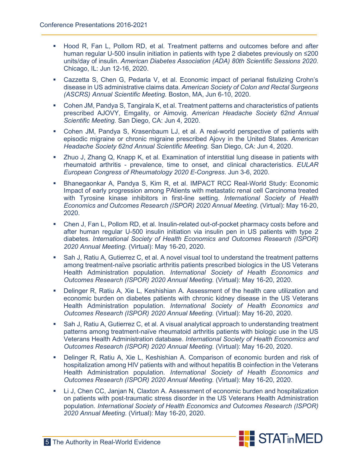- **Hood R, Fan L, Pollom RD, et al. Treatment patterns and outcomes before and after** human regular U-500 insulin initiation in patients with type 2 diabetes previously on ≤200 units/day of insulin. *American Diabetes Association (ADA) 80th Scientific Sessions 2020*. Chicago, IL: Jun 12-16, 2020.
- Cazzetta S, Chen G, Pedarla V, et al. Economic impact of perianal fistulizing Crohn's disease in US administrative claims data. *American Society of Colon and Rectal Surgeons (ASCRS) Annual Scientific Meeting.* Boston, MA, Jun 6-10, 2020.
- Cohen JM, Pandya S, Tangirala K, et al. Treatment patterns and characteristics of patients prescribed AJOVY, Emgality, or Aimovig. *American Headache Society 62nd Annual Scientific Meeting.* San Diego, CA: Jun 4, 2020.
- Cohen JM, Pandya S, Krasenbaum LJ, et al. A real-world perspective of patients with episodic migraine or chronic migraine prescribed Ajovy in the United States. *American Headache Society 62nd Annual Scientific Meeting.* San Diego, CA: Jun 4, 2020.
- Zhuo J, Zhang Q, Knapp K, et al. Examination of interstitial lung disease in patients with rheumatoid arthritis - prevalence, time to onset, and clinical characteristics. *EULAR European Congress of Rheumatology 2020 E-Congress*. Jun 3-6, 2020.
- Bhanegaonkar A, Pandya S, Kim R, et al. IMPACT RCC Real-World Study: Economic Impact of early progression among PAtients with metastatic renal cell Carcinoma treated with Tyrosine kinase inhibitors in first-line setting. *International Society of Health Economics and Outcomes Research (ISPOR) 2020 Annual Meeting.* (Virtual): May 16-20, 2020.
- Chen J, Fan L, Pollom RD, et al. Insulin-related out-of-pocket pharmacy costs before and after human regular U-500 insulin initiation via insulin pen in US patients with type 2 diabetes. *International Society of Health Economics and Outcomes Research (ISPOR) 2020 Annual Meeting.* (Virtual): May 16-20, 2020.
- Sah J, Ratiu A, Gutierrez C, et al. A novel visual tool to understand the treatment patterns among treatment-naïve psoriatic arthritis patients prescribed biologics in the US Veterans Health Administration population. *International Society of Health Economics and Outcomes Research (ISPOR) 2020 Annual Meeting.* (Virtual): May 16-20, 2020.
- Delinger R, Ratiu A, Xie L, Keshishian A. Assessment of the health care utilization and economic burden on diabetes patients with chronic kidney disease in the US Veterans Health Administration population. *International Society of Health Economics and Outcomes Research (ISPOR) 2020 Annual Meeting.* (Virtual): May 16-20, 2020.
- Sah J, Ratiu A, Gutierrez C, et al. A visual analytical approach to understanding treatment patterns among treatment-naïve rheumatoid arthritis patients with biologic use in the US Veterans Health Administration database. *International Society of Health Economics and Outcomes Research (ISPOR) 2020 Annual Meeting.* (Virtual): May 16-20, 2020.
- Delinger R, Ratiu A, Xie L, Keshishian A. Comparison of economic burden and risk of hospitalization among HIV patients with and without hepatitis B coinfection in the Veterans Health Administration population. *International Society of Health Economics and Outcomes Research (ISPOR) 2020 Annual Meeting.* (Virtual): May 16-20, 2020.
- Li J, Chen CC, Janjan N, Claxton A. Assessment of economic burden and hospitalization on patients with post-traumatic stress disorder in the US Veterans Health Administration population. *International Society of Health Economics and Outcomes Research (ISPOR) 2020 Annual Meeting.* (Virtual): May 16-20, 2020.

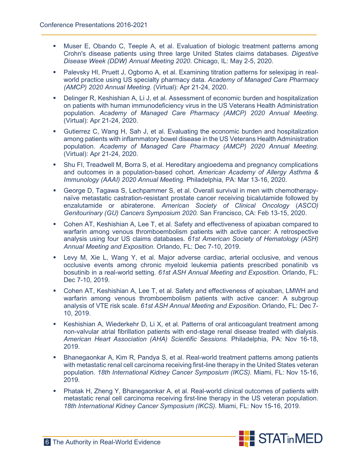- Muser E, Obando C, Teeple A, et al. Evaluation of biologic treatment patterns among Crohn's disease patients using three large United States claims databases. *Digestive Disease Week (DDW) Annual Meeting 2020*. Chicago, IL: May 2-5, 2020.
- Palevsky HI, Pruett J, Ogbomo A, et al. Examining titration patterns for selexipag in realworld practice using US specialty pharmacy data. *Academy of Managed Care Pharmacy (AMCP) 2020 Annual Meeting*. (Virtual): Apr 21-24, 2020.
- Delinger R, Keshishian A, Li J, et al. Assessment of economic burden and hospitalization on patients with human immunodeficiency virus in the US Veterans Health Administration population. *Academy of Managed Care Pharmacy (AMCP) 2020 Annual Meeting*. (Virtual): Apr 21-24, 2020.
- Gutierrez C, Wang H, Sah J, et al. Evaluating the economic burden and hospitalization among patients with inflammatory bowel disease in the US Veterans Health Administration population. *Academy of Managed Care Pharmacy (AMCP) 2020 Annual Meeting*. (Virtual): Apr 21-24, 2020.
- Shu FI, Treadwell M, Borra S, et al. Hereditary angioedema and pregnancy complications and outcomes in a population-based cohort. *American Academy of Allergy Asthma & Immunology (AAAI) 2020 Annual Meeting.* Philadelphia, PA: Mar 13-16, 2020.
- George D, Tagawa S, Lechpammer S, et al. Overall survival in men with chemotherapynaïve metastatic castration-resistant prostate cancer receiving bicalutamide followed by enzalutamide or abiraterone. *American Society of Clinical Oncology* (*ASCO) Genitourinary (GU) Cancers Symposium 2020.* San Francisco, CA: Feb 13-15, 2020.
- Cohen AT, Keshishian A, Lee T, et al. Safety and effectiveness of apixaban compared to warfarin among venous thromboembolism patients with active cancer: A retrospective analysis using four US claims databases. *61st American Society of Hematology (ASH) Annual Meeting and Exposition.* Orlando, FL: Dec 7-10, 2019.
- Levy M, Xie L, Wang Y, et al. Major adverse cardiac, arterial occlusive, and venous occlusive events among chronic myeloid leukemia patients prescribed ponatinib vs bosutinib in a real-world setting. *61st ASH Annual Meeting and Exposition*. Orlando, FL: Dec 7-10, 2019.
- Cohen AT, Keshishian A, Lee T, et al. Safety and effectiveness of apixaban, LMWH and warfarin among venous thromboembolism patients with active cancer: A subgroup analysis of VTE risk scale. *61st ASH Annual Meeting and Exposition*. Orlando, FL: Dec 7- 10, 2019.
- Keshishian A, Wiederkehr D, Li X, et al. Patterns of oral anticoagulant treatment among non-valvular atrial fibrillation patients with end-stage renal disease treated with dialysis. *American Heart Association (AHA) Scientific Sessions.* Philadelphia, PA: Nov 16-18, 2019.
- Bhanegaonkar A, Kim R, Pandya S, et al. Real-world treatment patterns among patients with metastatic renal cell carcinoma receiving first-line therapy in the United States veteran population. *18th International Kidney Cancer Symposium (IKCS).* Miami, FL: Nov 15-16, 2019.
- Phatak H, Zheng Y, Bhanegaonkar A, et al. Real-world clinical outcomes of patients with metastatic renal cell carcinoma receiving first-line therapy in the US veteran population. *18th International Kidney Cancer Symposium (IKCS).* Miami, FL: Nov 15-16, 2019.

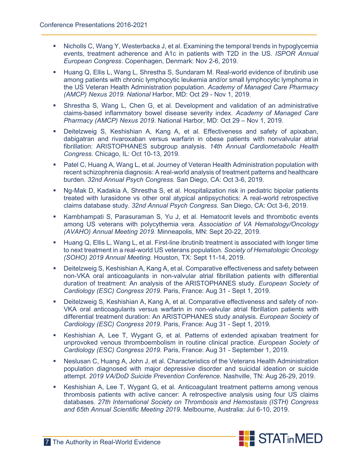- Nicholls C, Wang Y, Westerbacka J, et al. Examining the temporal trends in hypoglycemia events, treatment adherence and A1c in patients with T2D in the US. *ISPOR Annual European Congress*. Copenhagen, Denmark: Nov 2-6, 2019.
- Huang Q, Ellis L, Wang L, Shrestha S, Sundaram M. Real-world evidence of ibrutinib use among patients with chronic lymphocytic leukemia and/or small lymphocytic lymphoma in the US Veteran Health Administration population. *Academy of Managed Care Pharmacy (AMCP) Nexus 2019. National* Harbor, MD: Oct 29 - Nov 1, 2019.
- Shrestha S, Wang L, Chen G, et al. Development and validation of an administrative claims-based inflammatory bowel disease severity index. *Academy of Managed Care Pharmacy (AMCP) Nexus 2019.* National Harbor, MD: Oct 29 – Nov 1, 2019.
- Deitelzweig S, Keshishian A, Kang A, et al. Effectiveness and safety of apixaban, dabigatran and rivaroxaban versus warfarin in obese patients with nonvalvular atrial fibrillation: ARISTOPHANES subgroup analysis. *14th Annual Cardiometabolic Health Congress.* Chicago, IL: Oct 10-13, 2019.
- Patel C, Huang A, Wang L, et al. Journey of Veteran Health Administration population with recent schizophrenia diagnosis: A real-world analysis of treatment patterns and healthcare burden. *32nd Annual Psych Congress.* San Diego, CA: Oct 3-6, 2019.
- Ng-Mak D, Kadakia A, Shrestha S, et al. Hospitalization risk in pediatric bipolar patients treated with lurasidone vs other oral atypical antipsychotics: A real-world retrospective claims database study. *32nd Annual Psych Congress.* San Diego, CA: Oct 3-6, 2019.
- Kambhampati S, Parasuraman S, Yu J, et al. Hematocrit levels and thrombotic events among US veterans with polycythemia vera. *Association of VA Hematology/Oncology (AVAHO) Annual Meeting 2019.* Minneapolis, MN: Sept 20-22, 2019.
- Huang Q, Ellis L, Wang L, et al. First-line ibrutinib treatment is associated with longer time to next treatment in a real-world US veterans population. *Society of Hematologic Oncology (SOHO) 2019 Annual Meeting.* Houston, TX: Sept 11-14, 2019.
- Deitelzweig S, Keshishian A, Kang A, et al. Comparative effectiveness and safety between non-VKA oral anticoagulants in non-valvular atrial fibrillation patients with differential duration of treatment: An analysis of the ARISTOPHANES study. *European Society of Cardiology (ESC) Congress 2019*. Paris, France: Aug 31 - Sept 1, 2019.
- Deitelzweig S, Keshishian A, Kang A, et al. Comparative effectiveness and safety of non-VKA oral anticoagulants versus warfarin in non-valvular atrial fibrillation patients with differential treatment duration: An ARISTOPHANES study analysis. *European Society of Cardiology (ESC) Congress 2019*. Paris, France: Aug 31 - Sept 1, 2019.
- Keshishian A, Lee T, Wygant G, et al. Patterns of extended apixaban treatment for unprovoked venous thromboembolism in routine clinical practice. *European Society of Cardiology (ESC) Congress 2019*. Paris, France: Aug 31 - September 1, 2019.
- Neslusan C, Huang A, John J, et al. Characteristics of the Veterans Health Administration population diagnosed with major depressive disorder and suicidal ideation or suicide attempt. *2019 VA/DoD Suicide Prevention Conference.* Nashville, TN: Aug 26-29, 2019.
- Keshishian A, Lee T, Wygant G, et al. Anticoagulant treatment patterns among venous thrombosis patients with active cancer: A retrospective analysis using four US claims databases. *27th International Society on Thrombosis and Hemostasis (ISTH) Congress and 65th Annual Scientific Meeting 2019*. Melbourne, Australia: Jul 6-10, 2019.

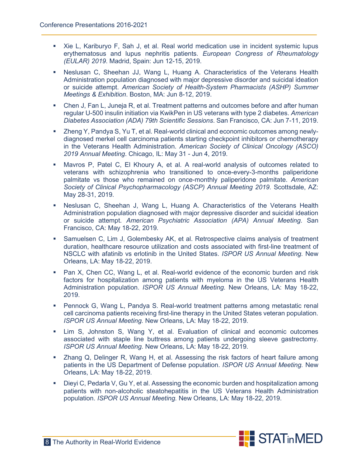- Xie L, Kariburyo F, Sah J, et al. Real world medication use in incident systemic lupus erythematosus and lupus nephritis patients*. European Congress of Rheumatology (EULAR) 2019*. Madrid, Spain: Jun 12-15, 2019.
- Neslusan C, Sheehan JJ, Wang L, Huang A. Characteristics of the Veterans Health Administration population diagnosed with major depressive disorder and suicidal ideation or suicide attempt. *American Society of Health-System Pharmacists (ASHP) Summer Meetings & Exhibition*. Boston, MA: Jun 8-12, 2019.
- Chen J, Fan L, Juneja R, et al. Treatment patterns and outcomes before and after human regular U-500 insulin initiation via KwikPen in US veterans with type 2 diabetes. *American Diabetes Association (ADA) 79th Scientific Sessions*. San Francisco, CA: Jun 7-11, 2019.
- Zheng Y, Pandya S, Yu T, et al. Real-world clinical and economic outcomes among newlydiagnosed merkel cell carcinoma patients starting checkpoint inhibitors or chemotherapy in the Veterans Health Administration. *American Society of Clinical Oncology (ASCO) 2019 Annual Meeting*. Chicago, IL: May 31 - Jun 4, 2019.
- Mavros P, Patel C, El Khoury A, et al. A real-world analysis of outcomes related to veterans with schizophrenia who transitioned to once-every-3-months paliperidone palmitate vs those who remained on once-monthly paliperidone palmitate. *American Society of Clinical Psychopharmacology (ASCP) Annual Meeting 2019.* Scottsdale, AZ: May 28-31, 2019.
- Neslusan C, Sheehan J, Wang L, Huang A. Characteristics of the Veterans Health Administration population diagnosed with major depressive disorder and suicidal ideation or suicide attempt. *American Psychiatric Association (APA) Annual Meeting*. San Francisco, CA: May 18-22, 2019.
- Samuelsen C, Lim J, Golembesky AK, et al. Retrospective claims analysis of treatment duration, healthcare resource utilization and costs associated with first-line treatment of NSCLC with afatinib vs erlotinib in the United States. *ISPOR US Annual Meeting.* New Orleans, LA: May 18-22, 2019.
- Pan X, Chen CC, Wang L, et al. Real-world evidence of the economic burden and risk factors for hospitalization among patients with myeloma in the US Veterans Health Administration population. *ISPOR US Annual Meeting.* New Orleans, LA: May 18-22, 2019.
- **Pennock G, Wang L, Pandya S. Real-world treatment patterns among metastatic renal** cell carcinoma patients receiving first-line therapy in the United States veteran population. *ISPOR US Annual Meeting.* New Orleans, LA: May 18-22, 2019.
- Lim S, Johnston S, Wang Y, et al. Evaluation of clinical and economic outcomes associated with staple line buttress among patients undergoing sleeve gastrectomy. *ISPOR US Annual Meeting.* New Orleans, LA: May 18-22, 2019.
- Zhang Q, Delinger R, Wang H, et al. Assessing the risk factors of heart failure among patients in the US Department of Defense population. *ISPOR US Annual Meeting.* New Orleans, LA: May 18-22, 2019.
- Dieyi C, Pedarla V, Gu Y, et al. Assessing the economic burden and hospitalization among patients with non-alcoholic steatohepatitis in the US Veterans Health Administration population. *ISPOR US Annual Meeting.* New Orleans, LA: May 18-22, 2019.

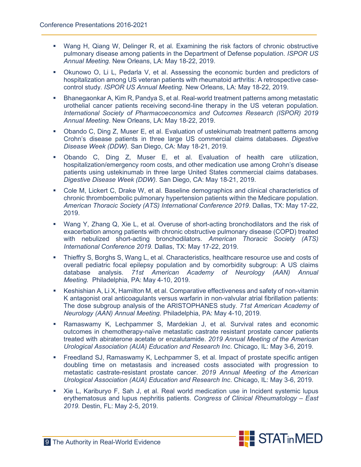- Wang H, Qiang W, Delinger R, et al. Examining the risk factors of chronic obstructive pulmonary disease among patients in the Department of Defense population. *ISPOR US Annual Meeting.* New Orleans, LA: May 18-22, 2019.
- Okunowo O, Li L, Pedarla V, et al. Assessing the economic burden and predictors of hospitalization among US veteran patients with rheumatoid arthritis: A retrospective casecontrol study. *ISPOR US Annual Meeting.* New Orleans, LA: May 18-22, 2019.
- Bhanegaonkar A, Kim R, Pandya S, et al. Real-world treatment patterns among metastatic urothelial cancer patients receiving second-line therapy in the US veteran population. *International Society of Pharmacoeconomics and Outcomes Research (ISPOR) 2019 Annual Meeting*. New Orleans, LA: May 18-22, 2019.
- Obando C, Ding Z, Muser E, et al. Evaluation of ustekinumab treatment patterns among Crohn's disease patients in three large US commercial claims databases. *Digestive Disease Week (DDW).* San Diego, CA: May 18-21, 2019.
- Obando C, Ding Z, Muser E, et al. Evaluation of health care utilization, hospitalization/emergency room costs, and other medication use among Crohn's disease patients using ustekinumab in three large United States commercial claims databases. *Digestive Disease Week (DDW).* San Diego, CA: May 18-21, 2019.
- Cole M, Lickert C, Drake W, et al. Baseline demographics and clinical characteristics of chronic thromboembolic pulmonary hypertension patients within the Medicare population. *American Thoracic Society (ATS) International Conference 2019*. Dallas, TX: May 17-22, 2019.
- Wang Y, Zhang Q, Xie L, et al. Overuse of short-acting bronchodilators and the risk of exacerbation among patients with chronic obstructive pulmonary disease (COPD) treated with nebulized short-acting bronchodilators. *American Thoracic Society (ATS) International Conference 2019.* Dallas, TX: May 17-22, 2019.
- **Thieffry S, Borghs S, Wang L, et al. Characteristics, healthcare resource use and costs of** overall pediatric focal epilepsy population and by comorbidity subgroup: A US claims database analysis*. 71st American Academy of Neurology (AAN) Annual Meeting.* Philadelphia, PA: May 4-10, 2019.
- Keshishian A, Li X, Hamilton M, et al. Comparative effectiveness and safety of non-vitamin K antagonist oral anticoagulants versus warfarin in non-valvular atrial fibrillation patients: The dose subgroup analysis of the ARISTOPHANES study*. 71st American Academy of Neurology (AAN) Annual Meeting*. Philadelphia, PA: May 4-10, 2019.
- Ramaswamy K, Lechpammer S, Mardekian J, et al. Survival rates and economic outcomes in chemotherapy-naïve metastatic castrate resistant prostate cancer patients treated with abiraterone acetate or enzalutamide. *2019 Annual Meeting of the American Urological Association (AUA) Education and Research Inc*. Chicago, IL: May 3-6, 2019.
- Freedland SJ, Ramaswamy K, Lechpammer S, et al. Impact of prostate specific antigen doubling time on metastasis and increased costs associated with progression to metastatic castrate-resistant prostate cancer. *2019 Annual Meeting of the American Urological Association (AUA) Education and Research Inc*. Chicago, IL: May 3-6, 2019.
- Xie L, Kariburyo F, Sah J, et al. Real world medication use in Incident systemic lupus erythematosus and lupus nephritis patients. *Congress of Clinical Rheumatology – East 2019.* Destin, FL: May 2-5, 2019.

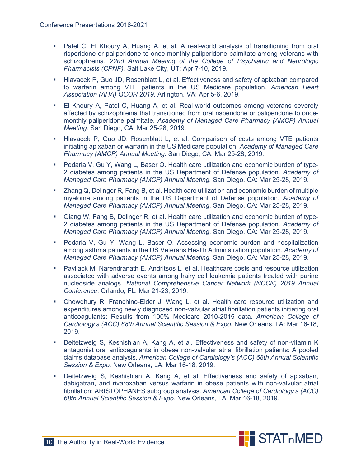- Patel C, El Khoury A, Huang A, et al. A real-world analysis of transitioning from oral risperidone or paliperidone to once-monthly paliperidone palmitate among veterans with schizophrenia. *22nd Annual Meeting of the College of Psychiatric and Neurologic Pharmacists (CPNP).* Salt Lake City, UT: Apr 7-10, 2019.
- **Hlavacek P, Guo JD, Rosenblatt L, et al. Effectiveness and safety of apixaban compared** to warfarin among VTE patients in the US Medicare population. *American Heart Association (AHA) QCOR 2019.* Arlington, VA: Apr 5-6, 2019.
- El Khoury A, Patel C, Huang A, et al. Real-world outcomes among veterans severely affected by schizophrenia that transitioned from oral risperidone or paliperidone to oncemonthly paliperidone palmitate. *Academy of Managed Care Pharmacy (AMCP) Annual Meeting.* San Diego, CA: Mar 25-28, 2019.
- Hlavacek P, Guo JD, Rosenblatt L, et al. Comparison of costs among VTE patients initiating apixaban or warfarin in the US Medicare population. *Academy of Managed Care Pharmacy (AMCP) Annual Meeting.* San Diego, CA: Mar 25-28, 2019.
- Pedarla V, Gu Y, Wang L, Baser O. Health care utilization and economic burden of type-2 diabetes among patients in the US Department of Defense population. *Academy of Managed Care Pharmacy (AMCP) Annual Meeting.* San Diego, CA: Mar 25-28, 2019.
- Zhang Q, Delinger R, Fang B, et al. Health care utilization and economic burden of multiple myeloma among patients in the US Department of Defense population. *Academy of Managed Care Pharmacy (AMCP) Annual Meeting*. San Diego, CA: Mar 25-28, 2019.
- Qiang W, Fang B, Delinger R, et al. Health care utilization and economic burden of type-2 diabetes among patients in the US Department of Defense population. *Academy of Managed Care Pharmacy (AMCP) Annual Meeting*. San Diego, CA: Mar 25-28, 2019.
- Pedarla V, Gu Y, Wang L, Baser O. Assessing economic burden and hospitalization among asthma patients in the US Veterans Health Administration population*. Academy of Managed Care Pharmacy (AMCP) Annual Meeting.* San Diego, CA: Mar 25-28, 2019.
- Pavilack M, Narendranath E, Andritsos L, et al. Healthcare costs and resource utilization associated with adverse events among hairy cell leukemia patients treated with purine nucleoside analogs. *National Comprehensive Cancer Network (NCCN) 2019 Annual Conference*. Orlando, FL: Mar 21-23, 2019.
- Chowdhury R, Franchino-Elder J, Wang L, et al. Health care resource utilization and expenditures among newly diagnosed non-valvular atrial fibrillation patients initiating oral anticoagulants: Results from 100% Medicare 2010-2015 data. *American College of Cardiology's (ACC) 68th Annual Scientific Session & Expo*. New Orleans, LA: Mar 16-18, 2019.
- Deitelzweig S, Keshishian A, Kang A, et al. Effectiveness and safety of non-vitamin K antagonist oral anticoagulants in obese non-valvular atrial fibrillation patients: A pooled claims database analysis. *American College of Cardiology's (ACC) 68th Annual Scientific Session & Expo.* New Orleans, LA: Mar 16-18, 2019.
- Deitelzweig S, Keshishian A, Kang A, et al. Effectiveness and safety of apixaban, dabigatran, and rivaroxaban versus warfarin in obese patients with non-valvular atrial fibrillation: ARISTOPHANES subgroup analysis. *American College of Cardiology's (ACC) 68th Annual Scientific Session & Expo.* New Orleans, LA: Mar 16-18, 2019.

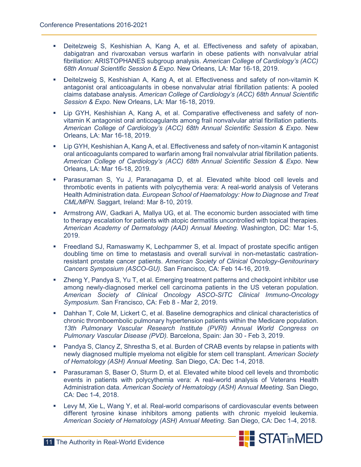- Deitelzweig S, Keshishian A, Kang A, et al. Effectiveness and safety of apixaban, dabigatran and rivaroxaban versus warfarin in obese patients with nonvalvular atrial fibrillation: ARISTOPHANES subgroup analysis. *American College of Cardiology's (ACC) 68th Annual Scientific Session & Expo.* New Orleans, LA: Mar 16-18, 2019.
- Deitelzweig S, Keshishian A, Kang A, et al. Effectiveness and safety of non-vitamin K antagonist oral anticoagulants in obese nonvalvular atrial fibrillation patients: A pooled claims database analysis. *American College of Cardiology's (ACC) 68th Annual Scientific Session & Expo.* New Orleans, LA: Mar 16-18, 2019.
- Lip GYH, Keshishian A, Kang A, et al. Comparative effectiveness and safety of nonvitamin K antagonist oral anticoagulants among frail nonvalvular atrial fibrillation patients. *American College of Cardiology's (ACC) 68th Annual Scientific Session & Expo*. New Orleans, LA: Mar 16-18, 2019.
- Lip GYH, Keshishian A, Kang A, et al. Effectiveness and safety of non-vitamin K antagonist oral anticoagulants compared to warfarin among frail nonvalvular atrial fibrillation patients. *American College of Cardiology's (ACC) 68th Annual Scientific Session & Expo*. New Orleans, LA: Mar 16-18, 2019.
- Parasuraman S, Yu J, Paranagama D, et al. Elevated white blood cell levels and thrombotic events in patients with polycythemia vera: A real-world analysis of Veterans Health Administration data. *European School of Haematology: How to Diagnose and Treat CML/MPN.* Saggart, Ireland: Mar 8-10, 2019.
- Armstrong AW, Gadkari A, Mallya UG, et al. The economic burden associated with time to therapy escalation for patients with atopic dermatitis uncontrolled with topical therapies. *American Academy of Dermatology (AAD) Annual Meeting.* Washington, DC: Mar 1-5, 2019.
- Freedland SJ, Ramaswamy K, Lechpammer S, et al. Impact of prostate specific antigen doubling time on time to metastasis and overall survival in non-metastatic castrationresistant prostate cancer patients. *American Society of Clinical Oncology-Genitourinary Cancers Symposium (ASCO-GU).* San Francisco, CA: Feb 14-16, 2019.
- Zheng Y, Pandya S, Yu T, et al. Emerging treatment patterns and checkpoint inhibitor use among newly-diagnosed merkel cell carcinoma patients in the US veteran population. *American Society of Clinical Oncology ASCO-SITC Clinical Immuno-Oncology Symposium.* San Francisco, CA: Feb 8 - Mar 2, 2019.
- Dahhan T, Cole M, Lickert C, et al. Baseline demographics and clinical characteristics of chronic thromboembolic pulmonary hypertension patients within the Medicare population. *13th Pulmonary Vascular Research Institute (PVRI) Annual World Congress on Pulmonary Vascular Disease (PVD).* Barcelona, Spain: Jan 30 - Feb 3, 2019.
- Pandya S, Clancy Z, Shrestha S, et al. Burden of CRAB events by relapse in patients with newly diagnosed multiple myeloma not eligible for stem cell transplant. *American Society of Hematology (ASH) Annual Meeting.* San Diego, CA: Dec 1-4, 2018.
- Parasuraman S, Baser O, Sturm D, et al. Elevated white blood cell levels and thrombotic events in patients with polycythemia vera: A real-world analysis of Veterans Health Administration data. *American Society of Hematology (ASH) Annual Meeting.* San Diego, CA: Dec 1-4, 2018.
- **EXECT A**, Xie L, Wang Y, et al. Real-world comparisons of cardiovascular events between different tyrosine kinase inhibitors among patients with chronic myeloid leukemia. *American Society of Hematology (ASH) Annual Meeting*. San Diego, CA: Dec 1-4, 2018.

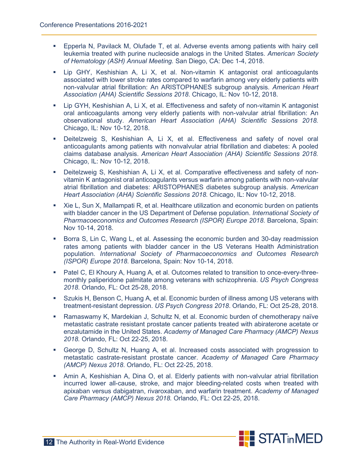- Epperla N, Pavilack M, Olufade T, et al. Adverse events among patients with hairy cell leukemia treated with purine nucleoside analogs in the United States. *American Society of Hematology (ASH) Annual Meeting.* San Diego, CA: Dec 1-4, 2018.
- Lip GHY, Keshishian A, Li X, et al. Non-vitamin K antagonist oral anticoagulants associated with lower stroke rates compared to warfarin among very elderly patients with non-valvular atrial fibrillation: An ARISTOPHANES subgroup analysis. *American Heart Association (AHA) Scientific Sessions 2018*. Chicago, IL: Nov 10-12, 2018.
- Lip GYH, Keshishian A, Li X, et al. Effectiveness and safety of non-vitamin K antagonist oral anticoagulants among very elderly patients with non-valvular atrial fibrillation: An observational study. *American Heart Association (AHA) Scientific Sessions 2018.* Chicago, IL: Nov 10-12, 2018.
- Deitelzweig S, Keshishian A, Li X, et al. Effectiveness and safety of novel oral anticoagulants among patients with nonvalvular atrial fibrillation and diabetes: A pooled claims database analysis. *American Heart Association (AHA) Scientific Sessions 2018.* Chicago, IL: Nov 10-12, 2018.
- Deitelzweig S, Keshishian A, Li X, et al. Comparative effectiveness and safety of nonvitamin K antagonist oral anticoagulants versus warfarin among patients with non-valvular atrial fibrillation and diabetes: ARISTOPHANES diabetes subgroup analysis. *American Heart Association (AHA) Scientific Sessions 2018.* Chicago, IL: Nov 10-12, 2018.
- Xie L, Sun X, Mallampati R, et al. Healthcare utilization and economic burden on patients with bladder cancer in the US Department of Defense population. *International Society of Pharmacoeconomics and Outcomes Research (ISPOR) Europe 2018*. Barcelona, Spain: Nov 10-14, 2018.
- **Borra S, Lin C, Wang L, et al. Assessing the economic burden and 30-day readmission** rates among patients with bladder cancer in the US Veterans Health Administration population. *International Society of Pharmacoeconomics and Outcomes Research (ISPOR) Europe 2018*. Barcelona, Spain: Nov 10-14, 2018.
- Patel C, El Khoury A, Huang A, et al. Outcomes related to transition to once-every-threemonthly paliperidone palmitate among veterans with schizophrenia. *US Psych Congress 2018*. Orlando, FL: Oct 25-28, 2018.
- Szukis H, Benson C, Huang A, et al. Economic burden of illness among US veterans with treatment-resistant depression. *US Psych Congress 2018*. Orlando, FL: Oct 25-28, 2018.
- Ramaswamy K, Mardekian J, Schultz N, et al. Economic burden of chemotherapy naïve metastatic castrate resistant prostate cancer patients treated with abiraterone acetate or enzalutamide in the United States. *Academy of Managed Care Pharmacy (AMCP) Nexus 2018.* Orlando, FL: Oct 22-25, 2018.
- George D, Schultz N, Huang A, et al. Increased costs associated with progression to metastatic castrate-resistant prostate cancer. *Academy of Managed Care Pharmacy (AMCP) Nexus 2018*. Orlando, FL: Oct 22-25, 2018.
- Amin A, Keshishian A, Dina O, et al. Elderly patients with non-valvular atrial fibrillation incurred lower all-cause, stroke, and major bleeding-related costs when treated with apixaban versus dabigatran, rivaroxaban, and warfarin treatment. *Academy of Managed Care Pharmacy (AMCP) Nexus 2018.* Orlando, FL: Oct 22-25, 2018.

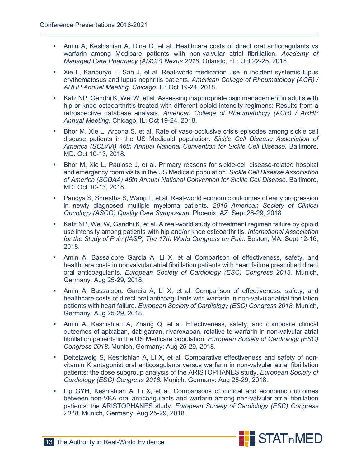- Amin A, Keshishian A, Dina O, et al. Healthcare costs of direct oral anticoagulants vs warfarin among Medicare patients with non-valvular atrial fibrillation. *Academy of Managed Care Pharmacy (AMCP) Nexus 2018.* Orlando, FL: Oct 22-25, 2018.
- Xie L, Kariburyo F, Sah J, et al. Real-world medication use in incident systemic lupus erythematosus and lupus nephritis patients. *American College of Rheumatology (ACR) / ARHP Annual Meeting. Chicago*, IL: Oct 19-24, 2018.
- Katz NP, Gandhi K, Wei W, et al. Assessing inappropriate pain management in adults with hip or knee osteoarthritis treated with different opioid intensity regimens: Results from a retrospective database analysis. *American College of Rheumatology (ACR) / ARHP Annual Meeting.* Chicago, IL: Oct 19-24, 2018.
- Bhor M, Xie L, Arcona S, et al. Rate of vaso-occlusive crisis episodes among sickle cell disease patients in the US Medicaid population. *Sickle Cell Disease Association of America (SCDAA) 46th Annual National Convention for Sickle Cell Disease*. Baltimore, MD: Oct 10-13, 2018.
- Bhor M, Xie L, Paulose J, et al. Primary reasons for sickle-cell disease-related hospital and emergency room visits in the US Medicaid population. *Sickle Cell Disease Association of America (SCDAA) 46th Annual National Convention for Sickle Cell Disease.* Baltimore, MD: Oct 10-13, 2018.
- Pandya S, Shrestha S, Wang L, et al. Real-world economic outcomes of early progression in newly diagnosed multiple myeloma patients*. 2018 American Society of Clinical Oncology (ASCO) Quality Care Symposium.* Phoenix, AZ: Sept 28-29, 2018.
- Katz NP, Wei W, Gandhi K, et al. A real-world study of treatment regimen failure by opioid use intensity among patients with hip and/or knee osteoarthritis. *International Association for the Study of Pain (IASP) The 17th World Congress on Pain*. Boston, MA: Sept 12-16, 2018.
- Amin A, Bassalobre Garcia A, Li X, et al Comparison of effectiveness, safety, and healthcare costs in nonvalvular atrial fibrillation patients with heart failure prescribed direct oral anticoagulants. *European Society of Cardiology (ESC) Congress 2018.* Munich, Germany: Aug 25-29, 2018.
- Amin A, Bassalobre Garcia A, Li X, et al. Comparison of effectiveness, safety, and healthcare costs of direct oral anticoagulants with warfarin in non-valvular atrial fibrillation patients with heart failure. *European Society of Cardiology (ESC) Congress 2018.* Munich, Germany: Aug 25-29, 2018.
- Amin A, Keshishian A, Zhang Q, et al. Effectiveness, safety, and composite clinical outcomes of apixaban, dabigatran, rivaroxaban, relative to warfarin in non-valvular atrial fibrillation patients in the US Medicare population. *European Society of Cardiology (ESC) Congress 2018.* Munich, Germany: Aug 25-29, 2018.
- Deitelzweig S, Keshishian A, Li X, et al. Comparative effectiveness and safety of nonvitamin K antagonist oral anticoagulants versus warfarin in non-valvular atrial fibrillation patients: the dose subgroup analysis of the ARISTOPHANES study. *European Society of Cardiology (ESC) Congress 2018.* Munich, Germany: Aug 25-29, 2018.
- Lip GYH, Keshishian A, Li X, et al. Comparisons of clinical and economic outcomes between non-VKA oral anticoagulants and warfarin among non-valvular atrial fibrillation patients: the ARISTOPHANES study. *European Society of Cardiology (ESC) Congress 2018.* Munich, Germany: Aug 25-29, 2018.

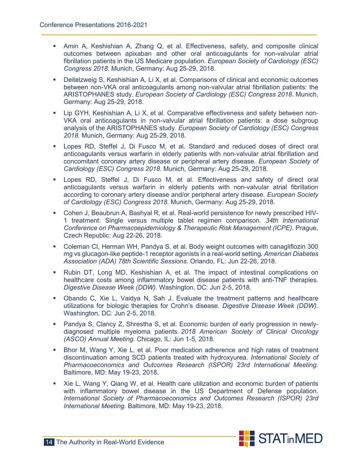- Amin A, Keshishian A, Zhang Q, et al. Effectiveness, safety, and composite clinical outcomes between apixaban and other oral anticoagulants for non-valvular atrial fibrillation patients in the US Medicare population. *European Society of Cardiology (ESC) Congress 2018.* Munich, Germany: Aug 25-29, 2018.
- Deitelzweig S, Keshishian A, Li X, et al. Comparisons of clinical and economic outcomes between non-VKA oral anticoagulants among non-valvular atrial fibrillation patients: the ARISTOPHANES study. *European Society of Cardiology (ESC) Congress 2018*. Munich, Germany: Aug 25-29, 2018.
- Lip GYH, Keshishian A, Li X, et al. Comparative effectiveness and safety between non-VKA oral anticoagulants in non-valvular atrial fibrillation patients: a dose subgroup analysis of the ARISTOPHANES study. *European Society of Cardiology (ESC) Congress 2018.* Munich, Germany: Aug 25-29, 2018.
- Lopes RD, Steffel J, Di Fusco M, et al. Standard and reduced doses of direct oral anticoagulants versus warfarin in elderly patients with non-valvular atrial fibrillation and concomitant coronary artery disease or peripheral artery disease. *European Society of Cardiology (ESC) Congress 2018.* Munich, Germany: Aug 25-29, 2018.
- Lopes RD, Steffel J, Di Fusco M, et al. Effectiveness and safety of direct oral anticoagulants versus warfarin in elderly patients with non-valvular atrial fibrillation according to coronary artery disease and/or peripheral artery disease. *European Society of Cardiology (ESC) Congress 2018*. Munich, Germany: Aug 25-29, 2018.
- Cohen J, Beaubrun A, Bashyal R, et al. Real-world persistence for newly prescribed HIV-1 treatment: Single versus multiple tablet regimen comparison. *34th International Conference on Pharmacoepidemiology & Therapeutic Risk Management (ICPE).* Prague, Czech Republic: Aug 22-26, 2018.
- Coleman CI, Herman WH, Pandya S, et al. Body weight outcomes with canagliflozin 300 mg vs glucagon-like peptide-1 receptor agonists in a real-world setting*. American Diabetes Association (ADA) 78th Scientific Sessions*. Orlando, FL: Jun 22-26, 2018.
- Rubin DT, Long MD, Keshishian A, et al. The impact of intestinal complications on healthcare costs among inflammatory bowel disease patients with anti-TNF therapies. *Digestive Disease Week (DDW).* Washington, DC: Jun 2-5, 2018.
- Obando C, Xie L, Vaidya N, Sah J. Evaluate the treatment patterns and healthcare utilizations for biologic therapies for Crohn's disease. *Digestive Disease Week (DDW).* Washington, DC: Jun 2-5, 2018.
- Pandya S, Clancy Z, Shrestha S, et al. Economic burden of early progression in newlydiagnosed multiple myeloma patients. *2018 American Society of Clinical Oncology (ASCO) Annual Meeting.* Chicago, IL: Jun 1-5, 2018.
- Bhor M, Wang Y, Xie L, et al. Poor medication adherence and high rates of treatment discontinuation among SCD patients treated with hydroxyurea. *International Society of Pharmacoeconomics and Outcomes Research (ISPOR) 23rd International Meeting.*  Baltimore, MD: May 19-23, 2018.
- Xie L, Wang Y, Qiang W, et al. Health care utilization and economic burden of patients with inflammatory bowel disease in the US Department of Defense population. *International Society of Pharmacoeconomics and Outcomes Research (ISPOR) 23rd International Meeting*. Baltimore, MD: May 19-23, 2018.

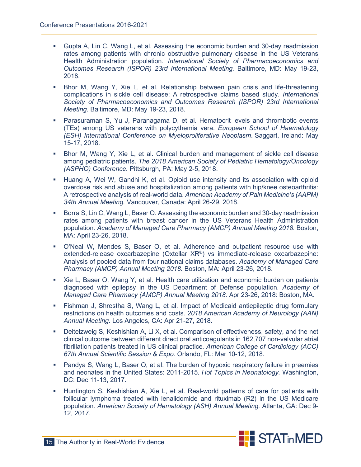- Gupta A, Lin C, Wang L, et al. Assessing the economic burden and 30-day readmission rates among patients with chronic obstructive pulmonary disease in the US Veterans Health Administration population. *International Society of Pharmacoeconomics and Outcomes Research (ISPOR) 23rd International Meeting.* Baltimore, MD: May 19-23, 2018.
- Bhor M, Wang Y, Xie L, et al. Relationship between pain crisis and life-threatening complications in sickle cell disease: A retrospective claims based study. *International Society of Pharmacoeconomics and Outcomes Research (ISPOR) 23rd International Meeting.* Baltimore, MD: May 19-23, 2018.
- Parasuraman S, Yu J, Paranagama D, et al. Hematocrit levels and thrombotic events (TEs) among US veterans with polycythemia vera. *European School of Haematology (ESH) International Conference on Myeloproliferative Neoplasm*. Saggart, Ireland: May 15-17, 2018.
- Bhor M, Wang Y, Xie L, et al. Clinical burden and management of sickle cell disease among pediatric patients. *The 2018 American Society of Pediatric Hematology/Oncology (ASPHO) Conference.* Pittsburgh, PA: May 2-5, 2018.
- **Huang A, Wei W, Gandhi K, et al. Opioid use intensity and its association with opioid** overdose risk and abuse and hospitalization among patients with hip/knee osteoarthritis: A retrospective analysis of real-world data. *American Academy of Pain Medicine's (AAPM) 34th Annual Meeting.* Vancouver, Canada: April 26-29, 2018.
- Borra S, Lin C, Wang L, Baser O. Assessing the economic burden and 30-day readmission rates among patients with breast cancer in the US Veterans Health Administration population. *Academy of Managed Care Pharmacy (AMCP) Annual Meeting 2018.* Boston, MA: April 23-26, 2018.
- O'Neal W, Mendes S, Baser O, et al. Adherence and outpatient resource use with extended-release oxcarbazepine (Oxtellar XR®) vs immediate-release oxcarbazepine: Analysis of pooled data from four national claims databases. *Academy of Managed Care Pharmacy (AMCP) Annual Meeting 2018.* Boston, MA: April 23-26, 2018.
- Xie L, Baser O, Wang Y, et al. Health care utilization and economic burden on patients diagnosed with epilepsy in the US Department of Defense population. *Academy of Managed Care Pharmacy (AMCP) Annual Meeting 2018*. Apr 23-26, 2018: Boston, MA.
- Fishman J, Shrestha S, Wang L, et al. Impact of Medicaid antiepileptic drug formulary restrictions on health outcomes and costs. *2018 American Academy of Neurology (AAN) Annual Meeting.* Los Angeles, CA: Apr 21-27, 2018.
- Deitelzweig S, Keshishian A, Li X, et al. Comparison of effectiveness, safety, and the net clinical outcome between different direct oral anticoagulants in 162,707 non-valvular atrial fibrillation patients treated in US clinical practice*. American College of Cardiology (ACC) 67th Annual Scientific Session & Expo.* Orlando, FL: Mar 10-12, 2018.
- Pandya S, Wang L, Baser O, et al. The burden of hypoxic respiratory failure in preemies and neonates in the United States: 2011-2015. *Hot Topics in Neonatology.* Washington, DC: Dec 11-13, 2017.
- Huntington S, Keshishian A, Xie L, et al. Real-world patterns of care for patients with follicular lymphoma treated with lenalidomide and rituximab (R2) in the US Medicare population. *American Society of Hematology (ASH) Annual Meeting.* Atlanta, GA: Dec 9- 12, 2017.

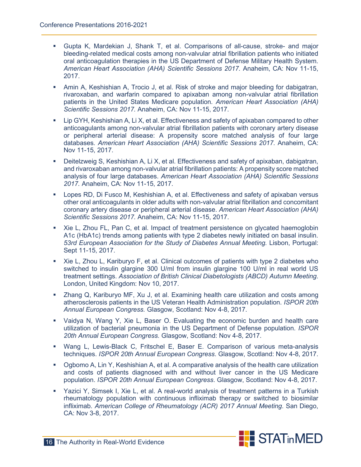- Gupta K, Mardekian J, Shank T, et al. Comparisons of all-cause, stroke- and major bleeding-related medical costs among non-valvular atrial fibrillation patients who initiated oral anticoagulation therapies in the US Department of Defense Military Health System. *American Heart Association (AHA) Scientific Sessions 2017.* Anaheim, CA: Nov 11-15, 2017.
- Amin A, Keshishian A, Trocio J, et al. Risk of stroke and major bleeding for dabigatran, rivaroxaban, and warfarin compared to apixaban among non-valvular atrial fibrillation patients in the United States Medicare population*. American Heart Association (AHA) Scientific Sessions 2017.* Anaheim, CA: Nov 11-15, 2017.
- Lip GYH, Keshishian A, Li X, et al. Effectiveness and safety of apixaban compared to other anticoagulants among non-valvular atrial fibrillation patients with coronary artery disease or peripheral arterial disease: A propensity score matched analysis of four large databases*. American Heart Association (AHA) Scientific Sessions 2017.* Anaheim, CA: Nov 11-15, 2017.
- Deitelzweig S, Keshishian A, Li X, et al. Effectiveness and safety of apixaban, dabigatran, and rivaroxaban among non-valvular atrial fibrillation patients: A propensity score matched analysis of four large databases. *American Heart Association (AHA) Scientific Sessions 2017.* Anaheim, CA: Nov 11-15, 2017.
- Lopes RD, Di Fusco M, Keshishian A, et al. Effectiveness and safety of apixaban versus other oral anticoagulants in older adults with non-valvular atrial fibrillation and concomitant coronary artery disease or peripheral arterial disease. *American Heart Association (AHA) Scientific Sessions 2017.* Anaheim, CA: Nov 11-15, 2017.
- Xie L, Zhou FL, Pan C, et al. Impact of treatment persistence on glycated haemoglobin A1c (HbA1c) trends among patients with type 2 diabetes newly initiated on basal insulin. *53rd European Association for the Study of Diabetes Annual Meeting.* Lisbon, Portugal: Sept 11-15, 2017.
- Xie L, Zhou L, Kariburyo F, et al. Clinical outcomes of patients with type 2 diabetes who switched to insulin glargine 300 U/ml from insulin glargine 100 U/ml in real world US treatment settings. *Association of British Clinical Diabetologists (ABCD) Autumn Meeting*. London, United Kingdom: Nov 10, 2017.
- Zhang Q, Kariburyo MF, Xu J, et al. Examining health care utilization and costs among atherosclerosis patients in the US Veteran Health Administration population. *ISPOR 20th Annual European Congress.* Glasgow, Scotland: Nov 4-8, 2017.
- Vaidya N, Wang Y, Xie L, Baser O. Evaluating the economic burden and health care utilization of bacterial pneumonia in the US Department of Defense population. *ISPOR 20th Annual European Congress.* Glasgow, Scotland: Nov 4-8, 2017.
- Wang L, Lewis-Black C, Fritschel E, Baser E. Comparison of various meta-analysis techniques. *ISPOR 20th Annual European Congress*. Glasgow, Scotland: Nov 4-8, 2017.
- Ogbomo A, Lin Y, Keshishian A, et al. A comparative analysis of the health care utilization and costs of patients diagnosed with and without liver cancer in the US Medicare population. *ISPOR 20th Annual European Congress*. Glasgow, Scotland: Nov 4-8, 2017.
- Yazici Y, Simsek I, Xie L, et al. A real-world analysis of treatment patterns in a Turkish rheumatology population with continuous infliximab therapy or switched to biosimilar infliximab*. American College of Rheumatology (ACR) 2017 Annual Meeting*. San Diego, CA: Nov 3-8, 2017.

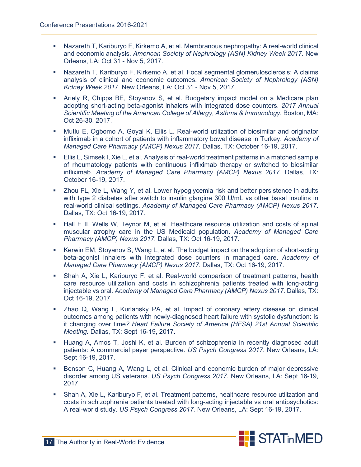- Nazareth T, Kariburyo F, Kirkemo A, et al. Membranous nephropathy: A real-world clinical and economic analysis. *American Society of Nephrology (ASN) Kidney Week 2017.* New Orleans, LA: Oct 31 - Nov 5, 2017.
- Nazareth T, Kariburyo F, Kirkemo A, et al. Focal segmental glomerulosclerosis: A claims analysis of clinical and economic outcomes. *American Society of Nephrology (ASN) Kidney Week 2017*. New Orleans, LA: Oct 31 - Nov 5, 2017.
- Ariely R, Chipps BE, Stoyanov S, et al. Budgetary impact model on a Medicare plan adopting short-acting beta-agonist inhalers with integrated dose counters. *2017 Annual Scientific Meeting of the American College of Allergy, Asthma & Immunology.* Boston, MA: Oct 26-30, 2017.
- Mutlu E, Ogbomo A, Goyal K, Ellis L. Real-world utilization of biosimilar and originator infliximab in a cohort of patients with inflammatory bowel disease in Turkey. *Academy of Managed Care Pharmacy (AMCP) Nexus 2017.* Dallas, TX: October 16-19, 2017.
- Ellis L, Simsek I, Xie L, et al. Analysis of real-world treatment patterns in a matched sample of rheumatology patients with continuous infliximab therapy or switched to biosimilar infliximab. *Academy of Managed Care Pharmacy (AMCP) Nexus 2017.* Dallas, TX: October 16-19, 2017.
- Zhou FL, Xie L, Wang Y, et al. Lower hypoglycemia risk and better persistence in adults with type 2 diabetes after switch to insulin glargine 300 U/mL vs other basal insulins in real-world clinical settings. *Academy of Managed Care Pharmacy (AMCP) Nexus 2017*. Dallas, TX: Oct 16-19, 2017.
- Hall E II, Wells W, Teynor M, et al. Healthcare resource utilization and costs of spinal muscular atrophy care in the US Medicaid population. *Academy of Managed Care Pharmacy (AMCP) Nexus 2017.* Dallas, TX: Oct 16-19, 2017.
- Kerwin EM, Stoyanov S, Wang L, et al. The budget impact on the adoption of short-acting beta-agonist inhalers with integrated dose counters in managed care. *Academy of Managed Care Pharmacy (AMCP) Nexus 2017*. Dallas, TX: Oct 16-19, 2017.
- Shah A, Xie L, Kariburyo F, et al. Real-world comparison of treatment patterns, health care resource utilization and costs in schizophrenia patients treated with long-acting injectable vs oral. *Academy of Managed Care Pharmacy (AMCP) Nexus 2017.* Dallas, TX: Oct 16-19, 2017.
- Zhao Q, Wang L, Kurlansky PA, et al. Impact of coronary artery disease on clinical outcomes among patients with newly-diagnosed heart failure with systolic dysfunction: Is it changing over time*? Heart Failure Society of America (HFSA) 21st Annual Scientific Meeting.* Dallas, TX: Sept 16-19, 2017.
- Huang A, Amos T, Joshi K, et al. Burden of schizophrenia in recently diagnosed adult patients: A commercial payer perspective. *US Psych Congress 2017*. New Orleans, LA: Sept 16-19, 2017.
- **Benson C, Huang A, Wang L, et al. Clinical and economic burden of major depressive** disorder among US veterans. *US Psych Congress 2017.* New Orleans, LA: Sept 16-19, 2017.
- Shah A, Xie L, Kariburyo F, et al. Treatment patterns, healthcare resource utilization and costs in schizophrenia patients treated with long-acting injectable vs oral antipsychotics: A real-world study. *US Psych Congress 2017.* New Orleans, LA: Sept 16-19, 2017.

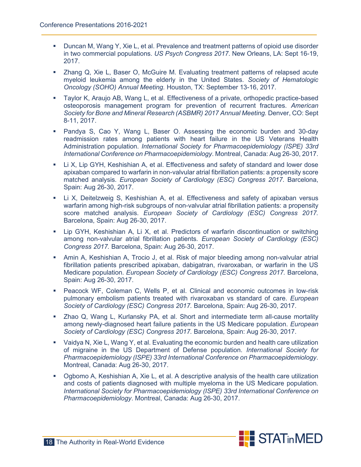- **Duncan M, Wang Y, Xie L, et al. Prevalence and treatment patterns of opioid use disorder** in two commercial populations. *US Psych Congress 2017*. New Orleans, LA: Sept 16-19, 2017.
- Zhang Q, Xie L, Baser O, McGuire M. Evaluating treatment patterns of relapsed acute myeloid leukemia among the elderly in the United States. *Society of Hematologic Oncology (SOHO) Annual Meeting.* Houston, TX: September 13-16, 2017.
- Taylor K, Araujo AB, Wang L, et al. Effectiveness of a private, orthopedic practice-based osteoporosis management program for prevention of recurrent fractures. *American Society for Bone and Mineral Research (ASBMR) 2017 Annual Meeting.* Denver, CO: Sept 8-11, 2017.
- Pandya S, Cao Y, Wang L, Baser O. Assessing the economic burden and 30-day readmission rates among patients with heart failure in the US Veterans Health Administration population. *International Society for Pharmacoepidemiology (ISPE) 33rd International Conference on Pharmacoepidemiology*. Montreal, Canada: Aug 26-30, 2017.
- **Li X, Lip GYH, Keshishian A, et al. Effectiveness and safety of standard and lower dose** apixaban compared to warfarin in non-valvular atrial fibrillation patients: a propensity score matched analysis. *European Society of Cardiology (ESC) Congress 2017*. Barcelona, Spain: Aug 26-30, 2017.
- **E.** Li X, Deitelzweig S, Keshishian A, et al. Effectiveness and safety of apixaban versus warfarin among high-risk subgroups of non-valvular atrial fibrillation patients: a propensity score matched analysis. *European Society of Cardiology (ESC) Congress 2017.* Barcelona, Spain: Aug 26-30, 2017.
- Lip GYH, Keshishian A, Li X, et al. Predictors of warfarin discontinuation or switching among non-valvular atrial fibrillation patients*. European Society of Cardiology (ESC) Congress 2017.* Barcelona, Spain: Aug 26-30, 2017.
- Amin A, Keshishian A, Trocio J, et al. Risk of major bleeding among non-valvular atrial fibrillation patients prescribed apixaban, dabigatran, rivaroxaban, or warfarin in the US Medicare population. *European Society of Cardiology (ESC) Congress 2017.* Barcelona, Spain: Aug 26-30, 2017.
- Peacock WF, Coleman C, Wells P, et al. Clinical and economic outcomes in low-risk pulmonary embolism patients treated with rivaroxaban vs standard of care. *European Society of Cardiology (ESC) Congress 2017.* Barcelona, Spain: Aug 26-30, 2017.
- Zhao Q, Wang L, Kurlansky PA, et al. Short and intermediate term all-cause mortality among newly-diagnosed heart failure patients in the US Medicare population. *European Society of Cardiology (ESC) Congress 2017.* Barcelona, Spain: Aug 26-30, 2017.
- Vaidya N, Xie L, Wang Y, et al. Evaluating the economic burden and health care utilization of migraine in the US Department of Defense population. *International Society for Pharmacoepidemiology (ISPE) 33rd International Conference on Pharmacoepidemiology*. Montreal, Canada: Aug 26-30, 2017.
- Ogbomo A, Keshishian A, Xie L, et al. A descriptive analysis of the health care utilization and costs of patients diagnosed with multiple myeloma in the US Medicare population. *International Society for Pharmacoepidemiology (ISPE) 33rd International Conference on Pharmacoepidemiology*. Montreal, Canada: Aug 26-30, 2017.

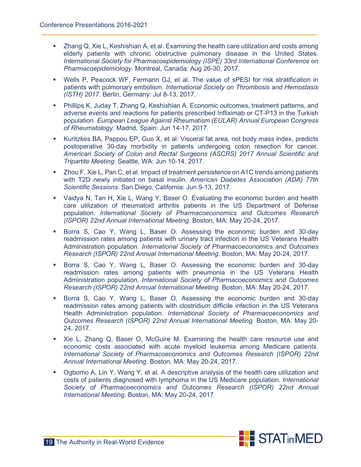- Zhang Q, Xie L, Keshishian A, et al. Examining the health care utilization and costs among elderly patients with chronic obstructive pulmonary disease in the United States. *International Society for Pharmacoepidemiology (ISPE) 33rd International Conference on Pharmacoepidemiology*. Montreal, Canada: Aug 26-30, 2017.
- Wells P, Peacock WF, Fermann GJ, et al. The value of sPESI for risk stratification in patients with pulmonary embolism. *International Society on Thrombosis and Hemostasis (ISTH) 2017.* Berlin, Germany: Jul 8-13, 2017.
- Phillips K, Juday T, Zhang Q, Keshishian A. Economic outcomes, treatment patterns, and adverse events and reactions for patients prescribed Infliximab or CT-P13 in the Turkish population. *European League Against Rheumatism (EULAR) Annual European Congress of Rheumatology.* Madrid, Spain: Jun 14-17, 2017.
- Kuritzkes BA, Pappou EP, Guo X, et al. Visceral fat area, not body mass index, predicts postoperative 30-day morbidity in patients undergoing colon resection for cancer. *American Society of Colon and Rectal Surgeons (ASCRS) 2017 Annual Scientific and Tripartite Meeting*. Seattle, WA: Jun 10-14, 2017.
- Zhou F, Xie L, Pan C, et al. Impact of treatment persistence on A1C trends among patients with T2D newly initiated on basal insulin. *American Diabetes Association (ADA) 77th Scientific Sessions.* San Diego, California: Jun 9-13, 2017.
- Vaidya N, Tan H, Xie L, Wang Y, Baser O. Evaluating the economic burden and health care utilization of rheumatoid arthritis patients in the US Department of Defense population. *International Society of Pharmacoeconomics and Outcomes Research (ISPOR) 22nd Annual International Meeting*. Boston, MA: May 20-24, 2017.
- **Borra S, Cao Y, Wang L, Baser O. Assessing the economic burden and 30-day** readmission rates among patients with urinary tract infection in the US Veterans Health Administration population. *International Society of Pharmacoeconomics and Outcomes Research (ISPOR) 22nd Annual International Meeting*. Boston, MA: May 20-24, 2017.
- **Borra S, Cao Y, Wang L, Baser O. Assessing the economic burden and 30-day** readmission rates among patients with pneumonia in the US Veterans Health Administration population. *International Society of Pharmacoeconomics and Outcomes Research (ISPOR) 22nd Annual International Meeting*. Boston, MA: May 20-24, 2017.
- **Borra S, Cao Y, Wang L, Baser O. Assessing the economic burden and 30-day** readmission rates among patients with clostridium difficile infection in the US Veterans Health Administration population. *International Society of Pharmacoeconomics and Outcomes Research (ISPOR) 22nd Annual International Meeting*. Boston, MA: May 20- 24, 2017.
- Xie L, Zhang Q, Baser O, McGuire M. Examining the health care resource use and economic costs associated with acute myeloid leukemia among Medicare patients. *International Society of Pharmacoeconomics and Outcomes Research (ISPOR) 22nd Annual International Meeting*. Boston, MA: May 20-24, 2017.
- Ogbomo A, Lin Y, Wang Y, et al. A descriptive analysis of the health care utilization and costs of patients diagnosed with lymphoma in the US Medicare population. *International Society of Pharmacoeconomics and Outcomes Research (ISPOR) 22nd Annual International Meeting*. Boston, MA: May 20-24, 2017.

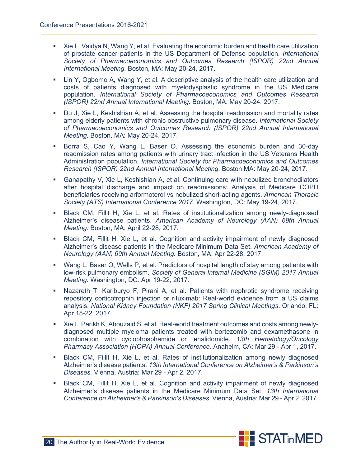- Xie L, Vaidya N, Wang Y, et al. Evaluating the economic burden and health care utilization of prostate cancer patients in the US Department of Defense population. *International Society of Pharmacoeconomics and Outcomes Research (ISPOR) 22nd Annual International Meeting.* Boston, MA: May 20-24, 2017.
- Lin Y, Ogbomo A, Wang Y, et al. A descriptive analysis of the health care utilization and costs of patients diagnosed with myelodysplastic syndrome in the US Medicare population. *International Society of Pharmacoeconomics and Outcomes Research (ISPOR) 22nd Annual International Meeting.* Boston, MA: May 20-24, 2017.
- Du J, Xie L, Keshishian A, et al. Assessing the hospital readmission and mortality rates among elderly patients with chronic obstructive pulmonary disease. *International Society of Pharmacoeconomics and Outcomes Research (ISPOR) 22nd Annual International Meeting.* Boston, MA: May 20-24, 2017.
- **Borra S, Cao Y, Wang L, Baser O. Assessing the economic burden and 30-day** readmission rates among patients with urinary tract infection in the US Veterans Health Administration population. *International Society for Pharmacoeconomics and Outcomes Research (ISPOR) 22nd Annual International Meeting*. Boston MA: May 20-24, 2017.
- Ganapathy V, Xie L, Keshishian A, et al. Continuing care with nebulized bronchodilators after hospital discharge and impact on readmissions: Analysis of Medicare COPD beneficiaries receiving arformoterol vs nebulized short-acting agents. *American Thoracic Society (ATS) International Conference 2017*. Washington, DC: May 19-24, 2017.
- Black CM, Fillit H, Xie L, et al. Rates of institutionalization among newly-diagnosed Alzheimer's disease patients. *American Academy of Neurology (AAN) 69th Annual Meeting*. Boston, MA: April 22-28, 2017.
- **Black CM, Fillit H, Xie L, et al. Cognition and activity impairment of newly diagnosed** Alzheimer's disease patients in the Medicare Minimum Data Set. *American Academy of Neurology (AAN) 69th Annual Meeting.* Boston, MA: Apr 22-28, 2017.
- Wang L, Baser O, Wells P, et al. Predictors of hospital length of stay among patients with low-risk pulmonary embolism. *Society of General Internal Medicine (SGIM) 2017 Annual Meeting.* Washington, DC: Apr 19-22, 2017.
- Nazareth T, Kariburyo F, Pirani A, et al. Patients with nephrotic syndrome receiving repository corticotrophin injection or rituximab: Real-world evidence from a US claims analysis. *National Kidney Foundation (NKF) 2017 Spring Clinical Meetings*. Orlando, FL: Apr 18-22, 2017.
- Xie L, Parikh K, Abouzaid S, et al. Real-world treatment outcomes and costs among newlydiagnosed multiple myeloma patients treated with bortezomib and dexamethasone in combination with cyclophosphamide or lenalidomide. *13th Hematology/Oncology Pharmacy Association (HOPA) Annual Conference.* Anaheim, CA: Mar 29 - Apr 1, 2017.
- Black CM, Fillit H, Xie L, et al. Rates of institutionalization among newly diagnosed Alzheimer's disease patients. *13th International Conference on Alzheimer's & Parkinson's Diseases.* Vienna, Austria: Mar 29 - Apr 2, 2017.
- Black CM, Fillit H, Xie L, et al. Cognition and activity impairment of newly diagnosed Alzheimer's disease patients in the Medicare Minimum Data Set. *13th International Conference on Alzheimer's & Parkinson's Diseases.* Vienna, Austria: Mar 29 - Apr 2, 2017.

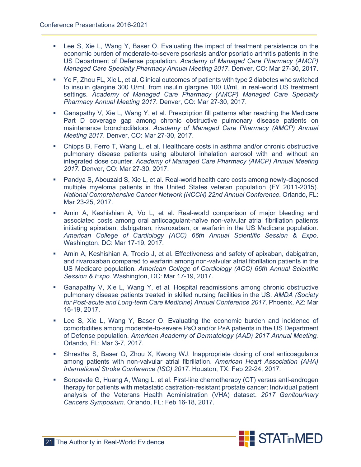- Lee S, Xie L, Wang Y, Baser O. Evaluating the impact of treatment persistence on the economic burden of moderate-to-severe psoriasis and/or psoriatic arthritis patients in the US Department of Defense population*. Academy of Managed Care Pharmacy (AMCP) Managed Care Specialty Pharmacy Annual Meeting 2017*. Denver, CO: Mar 27-30, 2017.
- Ye F, Zhou FL, Xie L, et al. Clinical outcomes of patients with type 2 diabetes who switched to insulin glargine 300 U/mL from insulin glargine 100 U/mL in real-world US treatment settings. *Academy of Managed Care Pharmacy (AMCP) Managed Care Specialty Pharmacy Annual Meeting 2017*. Denver, CO: Mar 27-30, 2017.
- Ganapathy V, Xie L, Wang Y, et al. Prescription fill patterns after reaching the Medicare Part D coverage gap among chronic obstructive pulmonary disease patients on maintenance bronchodilators. *Academy of Managed Care Pharmacy (AMCP) Annual Meeting 2017*. Denver, CO: Mar 27-30, 2017.
- Chipps B, Ferro T, Wang L, et al. Healthcare costs in asthma and/or chronic obstructive pulmonary disease patients using albuterol inhalation aerosol with and without an integrated dose counter. *Academy of Managed Care Pharmacy (AMCP) Annual Meeting 2017.* Denver, CO: Mar 27-30, 2017.
- Pandya S, Abouzaid S, Xie L, et al. Real-world health care costs among newly-diagnosed multiple myeloma patients in the United States veteran population (FY 2011-2015). *National Comprehensive Cancer Network (NCCN) 22nd Annual Conference.* Orlando, FL: Mar 23-25, 2017.
- Amin A, Keshishian A, Vo L, et al. Real-world comparison of major bleeding and associated costs among oral anticoagulant-naïve non-valvular atrial fibrillation patients initiating apixaban, dabigatran, rivaroxaban, or warfarin in the US Medicare population. *American College of Cardiology (ACC) 66th Annual Scientific Session & Expo*. Washington, DC: Mar 17-19, 2017.
- Amin A, Keshishian A, Trocio J, et al. Effectiveness and safety of apixaban, dabigatran, and rivaroxaban compared to warfarin among non-valvular atrial fibrillation patients in the US Medicare population*. American College of Cardiology (ACC) 66th Annual Scientific Session & Expo.* Washington, DC: Mar 17-19, 2017.
- Ganapathy V, Xie L, Wang Y, et al. Hospital readmissions among chronic obstructive pulmonary disease patients treated in skilled nursing facilities in the US. *AMDA (Society for Post-acute and Long-term Care Medicine) Annual Conference 2017*. Phoenix, AZ: Mar 16-19, 2017.
- Lee S, Xie L, Wang Y, Baser O. Evaluating the economic burden and incidence of comorbidities among moderate-to-severe PsO and/or PsA patients in the US Department of Defense population. *American Academy of Dermatology (AAD) 2017 Annual Meeting.* Orlando, FL: Mar 3-7, 2017.
- Shrestha S, Baser O, Zhou X, Kwong WJ. Inappropriate dosing of oral anticoagulants among patients with non-valvular atrial fibrillation. *American Heart Association (AHA) International Stroke Conference (ISC) 2017.* Houston, TX: Feb 22-24, 2017.
- Sonpavde G, Huang A, Wang L, et al. First-line chemotherapy (CT) versus anti-androgen therapy for patients with metastatic castration-resistant prostate cancer: Individual patient analysis of the Veterans Health Administration (VHA) dataset. *2017 Genitourinary Cancers Symposium*. Orlando, FL: Feb 16-18, 2017.

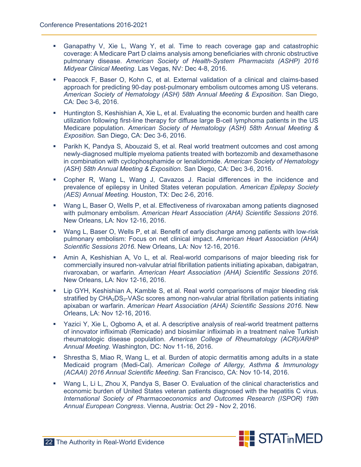- Ganapathy V, Xie L, Wang Y, et al. Time to reach coverage gap and catastrophic coverage: A Medicare Part D claims analysis among beneficiaries with chronic obstructive pulmonary disease. *American Society of Health-System Pharmacists (ASHP) 2016 Midyear Clinical Meeting*. Las Vegas, NV: Dec 4-8, 2016.
- Peacock F, Baser O, Kohn C, et al. External validation of a clinical and claims-based approach for predicting 90-day post-pulmonary embolism outcomes among US veterans. *American Society of Hematology (ASH) 58th Annual Meeting & Exposition*. San Diego, CA: Dec 3-6, 2016.
- Huntington S, Keshishian A, Xie L, et al. Evaluating the economic burden and health care utilization following first-line therapy for diffuse large B-cell lymphoma patients in the US Medicare population. *American Society of Hematology (ASH) 58th Annual Meeting & Exposition.* San Diego, CA: Dec 3-6, 2016.
- Parikh K, Pandya S, Abouzaid S, et al. Real world treatment outcomes and cost among newly-diagnosed multiple myeloma patients treated with bortezomib and dexamethasone in combination with cyclophosphamide or lenalidomide. *American Society of Hematology (ASH) 58th Annual Meeting & Exposition.* San Diego, CA: Dec 3-6, 2016.
- Copher R, Wang L, Wang J, Cavazos J. Racial differences in the incidence and prevalence of epilepsy in United States veteran population. *American Epilepsy Society (AES) Annual Meeting.* Houston, TX: Dec 2-6, 2016.
- Wang L, Baser O, Wells P, et al. Effectiveness of rivaroxaban among patients diagnosed with pulmonary embolism. *American Heart Association (AHA) Scientific Sessions 2016.* New Orleans, LA: Nov 12-16, 2016.
- Wang L, Baser O, Wells P, et al. Benefit of early discharge among patients with low-risk pulmonary embolism: Focus on net clinical impact. *American Heart Association (AHA) Scientific Sessions 2016*. New Orleans, LA: Nov 12-16, 2016.
- Amin A, Keshishian A, Vo L, et al. Real-world comparisons of major bleeding risk for commercially insured non-valvular atrial fibrillation patients initiating apixaban, dabigatran, rivaroxaban, or warfarin*. American Heart Association (AHA) Scientific Sessions 2016.* New Orleans, LA: Nov 12-16, 2016.
- Lip GYH, Keshishian A, Kamble S, et al. Real world comparisons of major bleeding risk stratified by CHA<sub>2</sub>DS<sub>2</sub>-VASc scores among non-valvular atrial fibrillation patients initiating apixaban or warfarin. *American Heart Association (AHA) Scientific Sessions 2016.* New Orleans, LA: Nov 12-16, 2016.
- Yazici Y, Xie L, Ogbomo A, et al. A descriptive analysis of real-world treatment patterns of innovator infliximab (Remicade) and biosimilar infliximab in a treatment naïve Turkish rheumatologic disease population. *American College of Rheumatology (ACR)/ARHP Annual Meeting.* Washington, DC: Nov 11-16, 2016.
- Shrestha S, Miao R, Wang L, et al. Burden of atopic dermatitis among adults in a state Medicaid program (Medi-Cal). *American College of Allergy, Asthma & Immunology (ACAAI) 2016 Annual Scientific Meeting*. San Francisco, CA: Nov 10-14, 2016.
- Wang L, Li L, Zhou X, Pandya S, Baser O. Evaluation of the clinical characteristics and economic burden of United States veteran patients diagnosed with the hepatitis C virus. *International Society of Pharmacoeconomics and Outcomes Research (ISPOR) 19th Annual European Congress*. Vienna, Austria: Oct 29 - Nov 2, 2016.

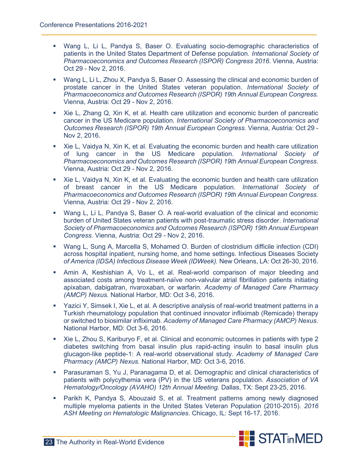- Wang L, Li L, Pandya S, Baser O. Evaluating socio-demographic characteristics of patients in the United States Department of Defense population*. International Society of Pharmacoeconomics and Outcomes Research (ISPOR) Congress 2016*. Vienna, Austria: Oct 29 - Nov 2, 2016.
- Wang L, Li L, Zhou X, Pandya S, Baser O. Assessing the clinical and economic burden of prostate cancer in the United States veteran population. *International Society of Pharmacoeconomics and Outcomes Research (ISPOR) 19th Annual European Congress.* Vienna, Austria: Oct 29 - Nov 2, 2016.
- Xie L, Zhang Q, Xin K, et al. Health care utilization and economic burden of pancreatic cancer in the US Medicare population. *International Society of Pharmacoeconomics and Outcomes Research (ISPOR) 19th Annual European Congress.* Vienna, Austria: Oct 29 - Nov 2, 2016.
- Xie L, Vaidya N, Xin K, et al. Evaluating the economic burden and health care utilization of lung cancer in the US Medicare population. *International Society of Pharmacoeconomics and Outcomes Research (ISPOR) 19th Annual European Congress*. Vienna, Austria: Oct 29 - Nov 2, 2016.
- Xie L, Vaidya N, Xin K, et al. Evaluating the economic burden and health care utilization of breast cancer in the US Medicare population*. International Society of Pharmacoeconomics and Outcomes Research (ISPOR) 19th Annual European Congress.*  Vienna, Austria: Oct 29 - Nov 2, 2016.
- Wang L, Li L, Pandya S, Baser O. A real-world evaluation of the clinical and economic burden of United States veteran patients with post-traumatic stress disorder. *International Society of Pharmacoeconomics and Outcomes Research (ISPOR) 19th Annual European Congress.* Vienna, Austria: Oct 29 - Nov 2, 2016.
- Wang L, Sung A, Marcella S, Mohamed O. Burden of clostridium difficile infection (CDI) across hospital inpatient, nursing home, and home settings. Infectious Diseases Society *of America (IDSA) Infectious Disease Week (IDWeek).* New Orleans, LA: Oct 26-30, 2016.
- Amin A, Keshishian A, Vo L, et al. Real-world comparison of major bleeding and associated costs among treatment-naïve non-valvular atrial fibrillation patients initiating apixaban, dabigatran, rivaroxaban, or warfarin*. Academy of Managed Care Pharmacy (AMCP) Nexus.* National Harbor, MD: Oct 3-6, 2016.
- Yazici Y, Simsek I, Xie L, et al. A descriptive analysis of real-world treatment patterns in a Turkish rheumatology population that continued innovator infliximab (Remicade) therapy or switched to biosimilar infliximab. *Academy of Managed Care Pharmacy (AMCP) Nexus*. National Harbor, MD: Oct 3-6, 2016.
- Xie L, Zhou S, Kariburyo F, et al. Clinical and economic outcomes in patients with type 2 diabetes switching from basal insulin plus rapid-acting insulin to basal insulin plus glucagon-like peptide-1: A real-world observational study. *Academy of Managed Care Pharmacy (AMCP) Nexus.* National Harbor, MD: Oct 3-6, 2016.
- Parasuraman S, Yu J, Paranagama D, et al. Demographic and clinical characteristics of patients with polycythemia vera (PV) in the US veterans population. *Association of VA Hematology/Oncology (AVAHO) 12th Annual Meeting.* Dallas, TX: Sept 23-25, 2016.
- Parikh K, Pandya S, Abouzaid S, et al. Treatment patterns among newly diagnosed multiple myeloma patients in the United States Veteran Population (2010-2015). *2016 ASH Meeting on Hematologic Malignancies*. Chicago, IL: Sept 16-17, 2016.

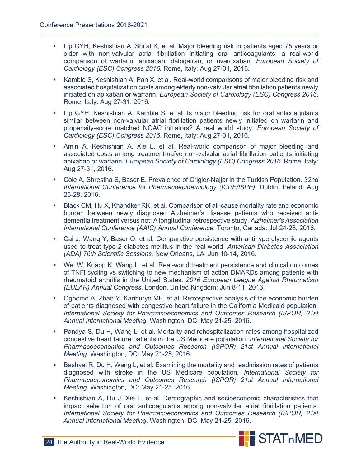- Lip GYH, Keshishian A, Shital K, et al. Major bleeding risk in patients aged 75 years or older with non-valvular atrial fibrillation initiating oral anticoagulants: a real-world comparison of warfarin, apixaban, dabigatran, or rivaroxaban. *European Society of Cardiology (ESC) Congress 2016.* Rome, Italy: Aug 27-31, 2016.
- Kamble S, Keshishian A, Pan X, et al. Real-world comparisons of major bleeding risk and associated hospitalization costs among elderly non-valvular atrial fibrillation patients newly initiated on apixaban or warfarin. *European Society of Cardiology (ESC) Congress 2016*. Rome, Italy: Aug 27-31, 2016.
- Lip GYH, Keshishian A, Kamble S, et al. Is major bleeding risk for oral anticoagulants similar between non-valvular atrial fibrillation patients newly initiated on warfarin and propensity-score matched NOAC initiators? A real world study. *European Society of Cardiology (ESC) Congress 2016*. Rome, Italy: Aug 27-31, 2016.
- Amin A, Keshishian A, Xie L, et al. Real-world comparison of major bleeding and associated costs among treatment-naïve non-valvular atrial fibrillation patients initiating apixaban or warfarin. *European Society of Cardiology (ESC) Congress 2016*. Rome, Italy: Aug 27-31, 2016.
- Cole A, Shrestha S, Baser E. Prevalence of Crigler-Najjar in the Turkish Population. *32nd International Conference for Pharmacoepidemiology (ICPE/ISPE).* Dublin, Ireland: Aug 25-28, 2016.
- **Black CM, Hu X, Khandker RK, et al. Comparison of all-cause mortality rate and economic** burden between newly diagnosed Alzheimer's disease patients who received antidementia treatment versus not: A longitudinal retrospective study. *Alzheimer's Association International Conference (AAIC) Annual Conference.* Toronto, Canada: Jul 24-28, 2016.
- Cai J, Wang Y, Baser O, et al. Comparative persistence with antihyperglycemic agents used to treat type 2 diabetes mellitus in the real world. *American Diabetes Association (ADA) 76th Scientific Sessions.* New Orleans, LA: Jun 10-14, 2016.
- Wei W, Knapp K, Wang L, et al. Real-world treatment persistence and clinical outcomes of TNFi cycling vs switching to new mechanism of action DMARDs among patients with rheumatoid arthritis in the United States. *2016 European League Against Rheumatism (EULAR) Annual Congress*. London, United Kingdom: Jun 8-11, 2016.
- Ogbomo A, Zhao Y, Kariburyo MF, et al. Retrospective analysis of the economic burden of patients diagnosed with congestive heart failure in the California Medicaid population*. International Society for Pharmacoeconomics and Outcomes Research (ISPOR) 21st Annual International Meeting.* Washington, DC: May 21-25, 2016.
- Pandya S, Du H, Wang L, et al. Mortality and rehospitalization rates among hospitalized congestive heart failure patients in the US Medicare population*. International Society for Pharmacoeconomics and Outcomes Research (ISPOR) 21st Annual International Meeting.* Washington, DC: May 21-25, 2016.
- Bashyal R, Du H, Wang L, et al. Examining the mortality and readmission rates of patients diagnosed with stroke in the US Medicare population*. International Society for Pharmacoeconomics and Outcomes Research (ISPOR) 21st Annual International Meeting*. Washington, DC: May 21-25, 2016.
- Keshishian A, Du J, Xie L, et al. Demographic and socioeconomic characteristics that impact selection of oral anticoagulants among non-valvular atrial fibrillation patients. *International Society for Pharmacoeconomics and Outcomes Research (ISPOR) 21st Annual International Meeting*. Washington, DC: May 21-25, 2016.

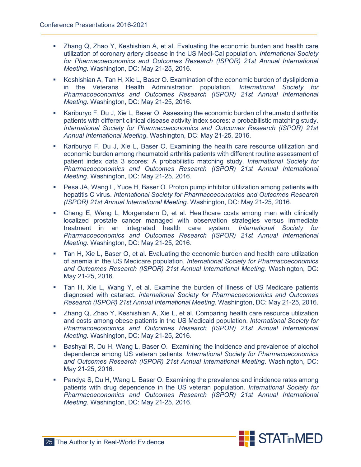- Zhang Q, Zhao Y, Keshishian A, et al. Evaluating the economic burden and health care utilization of coronary artery disease in the US Medi-Cal population. *International Society for Pharmacoeconomics and Outcomes Research (ISPOR) 21st Annual International Meeting.* Washington, DC: May 21-25, 2016.
- Keshishian A, Tan H, Xie L, Baser O. Examination of the economic burden of dyslipidemia in the Veterans Health Administration population*. International Society for Pharmacoeconomics and Outcomes Research (ISPOR) 21st Annual International Meeting.* Washington, DC: May 21-25, 2016.
- **Kariburyo F, Du J, Xie L, Baser O. Assessing the economic burden of rheumatoid arthritis** patients with different clinical disease activity index scores: a probabilistic matching study. *International Society for Pharmacoeconomics and Outcomes Research (ISPOR) 21st Annual International Meeting*. Washington, DC: May 21-25, 2016.
- Kariburyo F, Du J, Xie L, Baser O. Examining the health care resource utilization and economic burden among rheumatoid arthritis patients with different routine assessment of patient index data 3 scores: A probabilistic matching study. *International Society for Pharmacoeconomics and Outcomes Research (ISPOR) 21st Annual International Meeting.* Washington, DC: May 21-25, 2016.
- Pesa JA, Wang L, Yuce H, Baser O. Proton pump inhibitor utilization among patients with hepatitis C virus. *International Society for Pharmacoeconomics and Outcomes Research (ISPOR) 21st Annual International Meeting*. Washington, DC: May 21-25, 2016.
- Cheng E, Wang L, Morgenstern D, et al. Healthcare costs among men with clinically localized prostate cancer managed with observation strategies versus immediate treatment in an integrated health care system. *International Society for Pharmacoeconomics and Outcomes Research (ISPOR) 21st Annual International Meeting*. Washington, DC: May 21-25, 2016.
- Tan H, Xie L, Baser O, et al. Evaluating the economic burden and health care utilization of anemia in the US Medicare population. *International Society for Pharmacoeconomics and Outcomes Research (ISPOR) 21st Annual International Meeting.* Washington, DC: May 21-25, 2016.
- Tan H, Xie L, Wang Y, et al. Examine the burden of illness of US Medicare patients diagnosed with cataract. *International Society for Pharmacoeconomics and Outcomes Research (ISPOR) 21st Annual International Meeting*. Washington, DC: May 21-25, 2016.
- Zhang Q, Zhao Y, Keshishian A, Xie L, et al. Comparing health care resource utilization and costs among obese patients in the US Medicaid population. *International Society for Pharmacoeconomics and Outcomes Research (ISPOR) 21st Annual International Meeting.* Washington, DC: May 21-25, 2016.
- **Bashyal R, Du H, Wang L, Baser O. Examining the incidence and prevalence of alcohol** dependence among US veteran patients. *International Society for Pharmacoeconomics and Outcomes Research (ISPOR) 21st Annual International Meeting*. Washington, DC: May 21-25, 2016.
- Pandya S, Du H, Wang L, Baser O. Examining the prevalence and incidence rates among patients with drug dependence in the US veteran population. *International Society for Pharmacoeconomics and Outcomes Research (ISPOR) 21st Annual International Meeting.* Washington, DC: May 21-25, 2016.

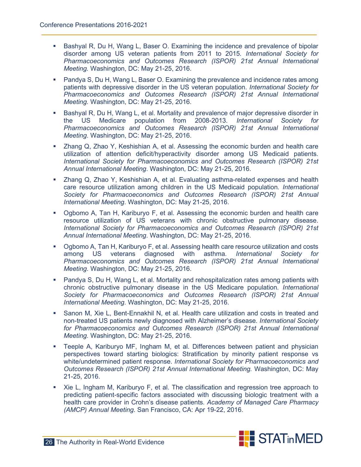- **Bashyal R, Du H, Wang L, Baser O. Examining the incidence and prevalence of bipolar** disorder among US veteran patients from 2011 to 2015*. International Society for Pharmacoeconomics and Outcomes Research (ISPOR) 21st Annual International Meeting.* Washington, DC: May 21-25, 2016.
- Pandya S, Du H, Wang L, Baser O. Examining the prevalence and incidence rates among patients with depressive disorder in the US veteran population. *International Society for Pharmacoeconomics and Outcomes Research (ISPOR) 21st Annual International Meeting.* Washington, DC: May 21-25, 2016.
- **Bashyal R, Du H, Wang L, et al. Mortality and prevalence of major depressive disorder in** the US Medicare population from 2008-2013. *International Society for Pharmacoeconomics and Outcomes Research (ISPOR) 21st Annual International Meeting*. Washington, DC: May 21-25, 2016.
- Zhang Q, Zhao Y, Keshishian A, et al. Assessing the economic burden and health care utilization of attention deficit/hyperactivity disorder among US Medicaid patients. *International Society for Pharmacoeconomics and Outcomes Research (ISPOR) 21st Annual International Meeting*. Washington, DC: May 21-25, 2016.
- **EXT** Zhang Q, Zhao Y, Keshishian A, et al. Evaluating asthma-related expenses and health care resource utilization among children in the US Medicaid population*. International Society for Pharmacoeconomics and Outcomes Research (ISPOR) 21st Annual International Meeting*. Washington, DC: May 21-25, 2016.
- Ogbomo A, Tan H, Kariburyo F, et al. Assessing the economic burden and health care resource utilization of US veterans with chronic obstructive pulmonary disease. *International Society for Pharmacoeconomics and Outcomes Research (ISPOR) 21st Annual International Meeting*. Washington, DC: May 21-25, 2016.
- **Ogbomo A, Tan H, Kariburyo F, et al. Assessing health care resource utilization and costs** among US veterans diagnosed with asthma. *International Society for Pharmacoeconomics and Outcomes Research (ISPOR) 21st Annual International Meeting*. Washington, DC: May 21-25, 2016.
- Pandya S, Du H, Wang L, et al. Mortality and rehospitalization rates among patients with chronic obstructive pulmonary disease in the US Medicare population*. International Society for Pharmacoeconomics and Outcomes Research (ISPOR) 21st Annual International Meeting*. Washington, DC: May 21-25, 2016.
- Sanon M, Xie L, Bent-Ennakhil N, et al. Health care utilization and costs in treated and non-treated US patients newly diagnosed with Alzheimer's disease*. International Society for Pharmacoeconomics and Outcomes Research (ISPOR) 21st Annual International Meeting.* Washington, DC: May 21-25, 2016.
- Teeple A, Kariburyo MF, Ingham M, et al. Differences between patient and physician perspectives toward starting biologics: Stratification by minority patient response vs white/undetermined patient response. *International Society for Pharmacoeconomics and Outcomes Research (ISPOR) 21st Annual International Meeting.* Washington, DC: May 21-25, 2016.
- Xie L, Ingham M, Kariburyo F, et al. The classification and regression tree approach to predicting patient-specific factors associated with discussing biologic treatment with a health care provider in Crohn's disease patients*. Academy of Managed Care Pharmacy (AMCP) Annual Meeting.* San Francisco, CA: Apr 19-22, 2016.